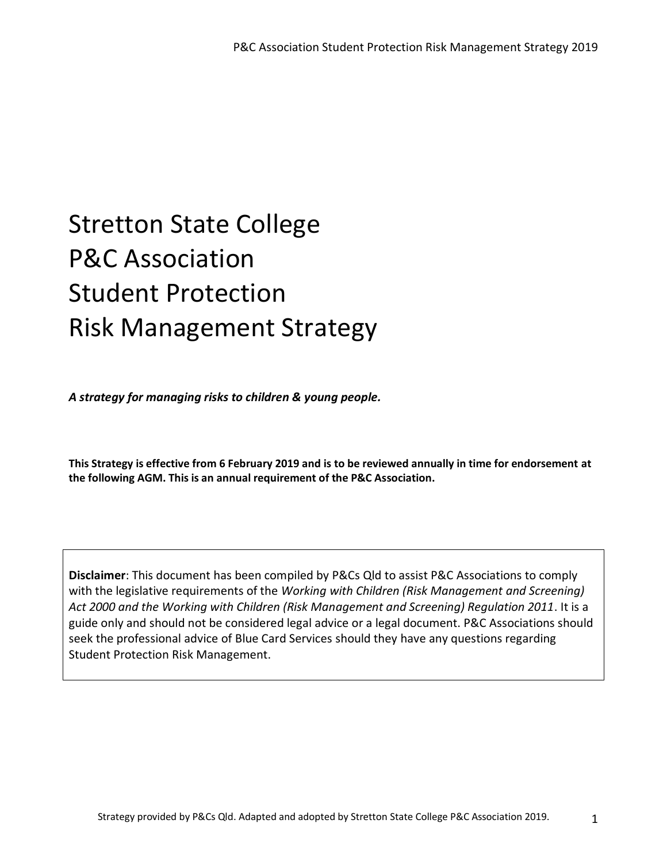# Stretton State College P&C Association Student Protection Risk Management Strategy

*A strategy for managing risks to children & young people.*

**This Strategy is effective from 6 February 2019 and is to be reviewed annually in time for endorsement at the following AGM. This is an annual requirement of the P&C Association.** 

**Disclaimer**: This document has been compiled by P&Cs Qld to assist P&C Associations to comply with the legislative requirements of the *Working with Children (Risk Management and Screening) Act 2000 and the Working with Children (Risk Management and Screening) Regulation 2011*. It is a guide only and should not be considered legal advice or a legal document. P&C Associations should seek the professional advice of Blue Card Services should they have any questions regarding Student Protection Risk Management.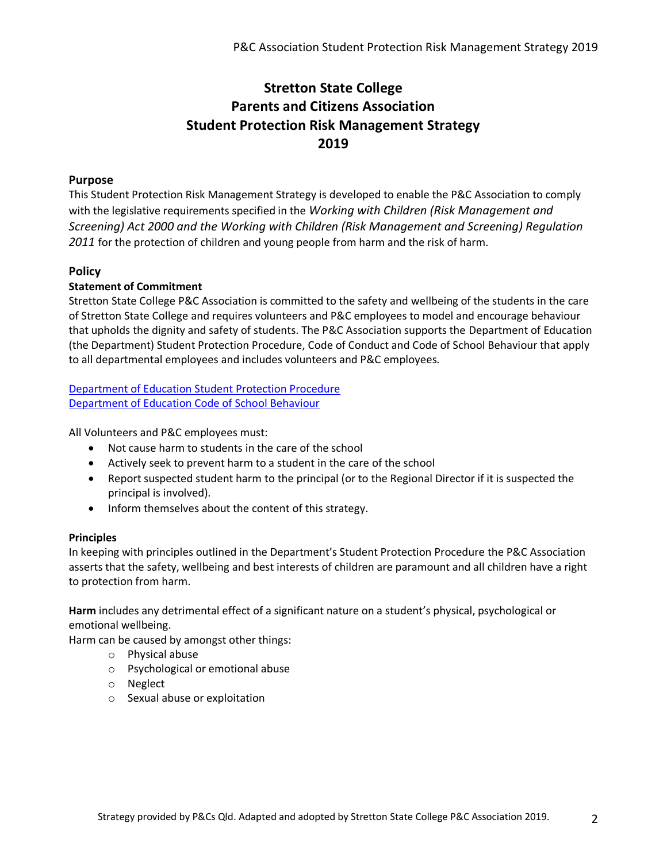### **Stretton State College Parents and Citizens Association Student Protection Risk Management Strategy 2019**

#### **Purpose**

This Student Protection Risk Management Strategy is developed to enable the P&C Association to comply with the legislative requirements specified in the *Working with Children (Risk Management and Screening) Act 2000 and the Working with Children (Risk Management and Screening) Regulation 2011* for the protection of children and young people from harm and the risk of harm.

#### **Policy**

#### **Statement of Commitment**

Stretton State College P&C Association is committed to the safety and wellbeing of the students in the care of Stretton State College and requires volunteers and P&C employees to model and encourage behaviour that upholds the dignity and safety of students. The P&C Association supports the Department of Education (the Department) Student Protection Procedure, Code of Conduct and Code of School Behaviour that apply to all departmental employees and includes volunteers and P&C employees.

Department of Education [Student Protection Procedure](https://education.qld.gov.au/parents-and-carers/school-information/life-at-school/student-protection) Department of Education [Code of School Behaviour](http://behaviour.education.qld.gov.au/disciplinary-decisions/code-school-behaviour/Pages/default.aspx)

All Volunteers and P&C employees must:

- Not cause harm to students in the care of the school
- Actively seek to prevent harm to a student in the care of the school
- Report suspected student harm to the principal (or to the Regional Director if it is suspected the principal is involved).
- Inform themselves about the content of this strategy.

#### **Principles**

In keeping with principles outlined in the Department's Student Protection Procedure the P&C Association asserts that the safety, wellbeing and best interests of children are paramount and all children have a right to protection from harm.

**Harm** includes any detrimental effect of a significant nature on a student's physical, psychological or emotional wellbeing.

Harm can be caused by amongst other things:

- o Physical abuse
- o Psychological or emotional abuse
- o Neglect
- o Sexual abuse or exploitation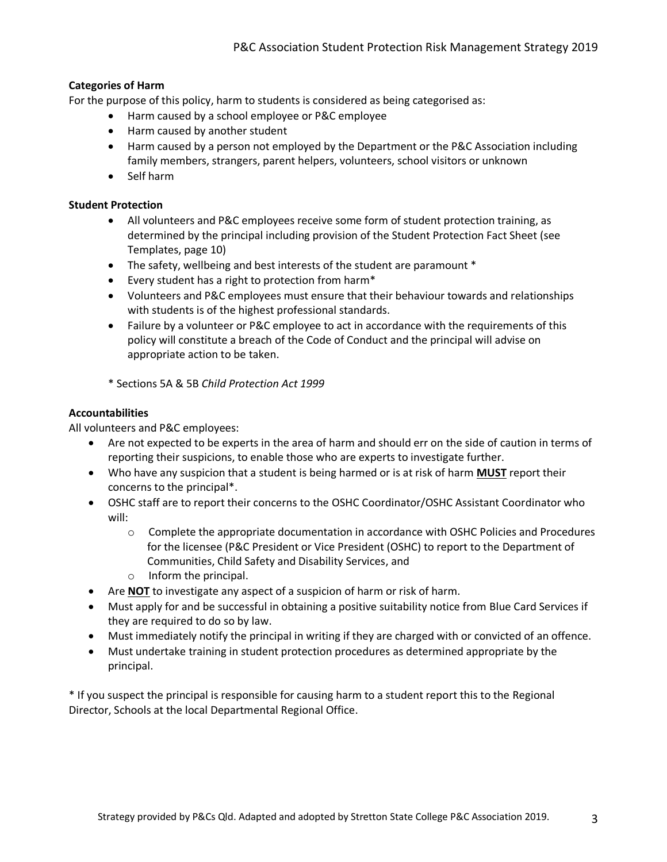#### **Categories of Harm**

For the purpose of this policy, harm to students is considered as being categorised as:

- Harm caused by a school employee or P&C employee
- Harm caused by another student
- Harm caused by a person not employed by the Department or the P&C Association including family members, strangers, parent helpers, volunteers, school visitors or unknown
- Self harm

#### **Student Protection**

- All volunteers and P&C employees receive some form of student protection training, as determined by the principal including provision of the Student Protection Fact Sheet (see Templates, page 10)
- The safety, wellbeing and best interests of the student are paramount \*
- Every student has a right to protection from harm\*
- Volunteers and P&C employees must ensure that their behaviour towards and relationships with students is of the highest professional standards.
- Failure by a volunteer or P&C employee to act in accordance with the requirements of this policy will constitute a breach of the Code of Conduct and the principal will advise on appropriate action to be taken.

\* Sections 5A & 5B *Child Protection Act 1999*

#### **Accountabilities**

All volunteers and P&C employees:

- Are not expected to be experts in the area of harm and should err on the side of caution in terms of reporting their suspicions, to enable those who are experts to investigate further.
- Who have any suspicion that a student is being harmed or is at risk of harm **MUST** report their concerns to the principal\*.
- OSHC staff are to report their concerns to the OSHC Coordinator/OSHC Assistant Coordinator who will:
	- o Complete the appropriate documentation in accordance with OSHC Policies and Procedures for the licensee (P&C President or Vice President (OSHC) to report to the Department of Communities, Child Safety and Disability Services, and
	- o Inform the principal.
- Are **NOT** to investigate any aspect of a suspicion of harm or risk of harm.
- Must apply for and be successful in obtaining a positive suitability notice from Blue Card Services if they are required to do so by law.
- Must immediately notify the principal in writing if they are charged with or convicted of an offence.
- Must undertake training in student protection procedures as determined appropriate by the principal.

\* If you suspect the principal is responsible for causing harm to a student report this to the Regional Director, Schools at the local Departmental Regional Office.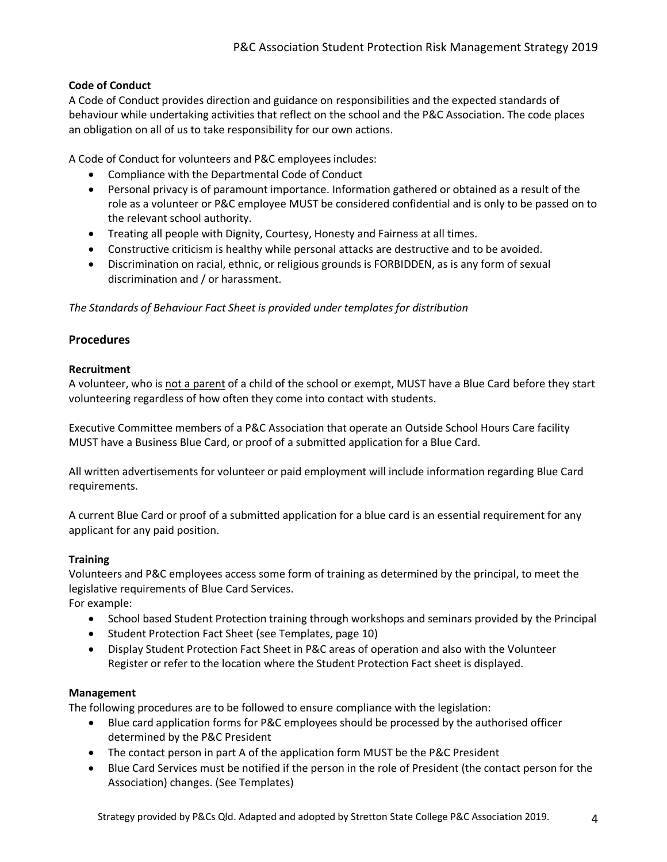#### **Code of Conduct**

A Code of Conduct provides direction and guidance on responsibilities and the expected standards of behaviour while undertaking activities that reflect on the school and the P&C Association. The code places an obligation on all of us to take responsibility for our own actions.

A Code of Conduct for volunteers and P&C employees includes:

- Compliance with the Departmental Code of Conduct
- Personal privacy is of paramount importance. Information gathered or obtained as a result of the role as a volunteer or P&C employee MUST be considered confidential and is only to be passed on to the relevant school authority.
- Treating all people with Dignity, Courtesy, Honesty and Fairness at all times.
- Constructive criticism is healthy while personal attacks are destructive and to be avoided.
- Discrimination on racial, ethnic, or religious grounds is FORBIDDEN, as is any form of sexual discrimination and / or harassment.

*The Standards of Behaviour Fact Sheet is provided under templates for distribution* 

#### **Procedures**

#### **Recruitment**

A volunteer, who is not a parent of a child of the school or exempt, MUST have a Blue Card before they start volunteering regardless of how often they come into contact with students.

Executive Committee members of a P&C Association that operate an Outside School Hours Care facility MUST have a Business Blue Card, or proof of a submitted application for a Blue Card.

All written advertisements for volunteer or paid employment will include information regarding Blue Card requirements.

A current Blue Card or proof of a submitted application for a blue card is an essential requirement for any applicant for any paid position.

#### **Training**

Volunteers and P&C employees access some form of training as determined by the principal, to meet the legislative requirements of Blue Card Services.

For example:

- School based Student Protection training through workshops and seminars provided by the Principal
- Student Protection Fact Sheet (see Templates, page 10)
- Display Student Protection Fact Sheet in P&C areas of operation and also with the Volunteer Register or refer to the location where the Student Protection Fact sheet is displayed.

#### **Management**

The following procedures are to be followed to ensure compliance with the legislation:

- Blue card application forms for P&C employees should be processed by the authorised officer determined by the P&C President
- The contact person in part A of the application form MUST be the P&C President
- Blue Card Services must be notified if the person in the role of President (the contact person for the Association) changes. (See Templates)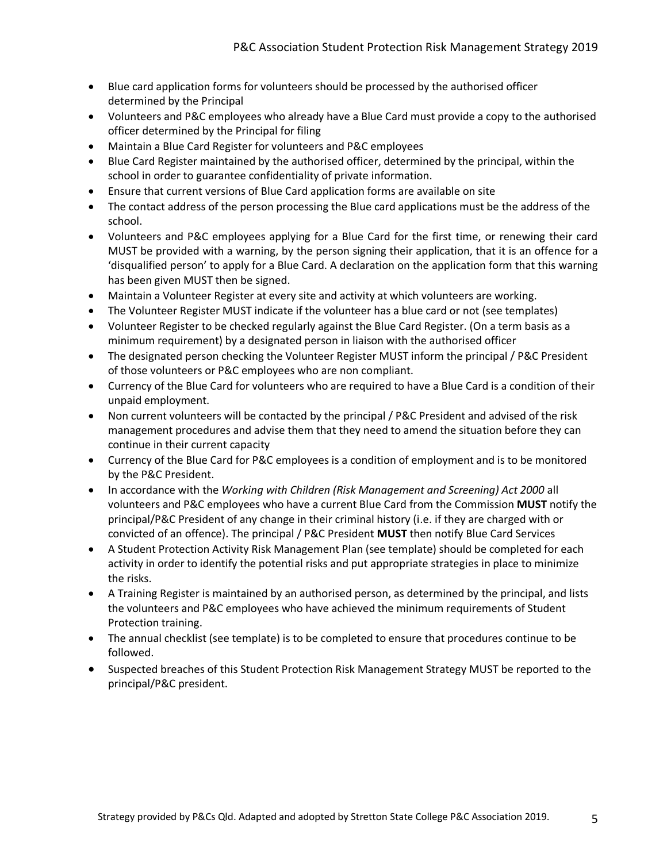- Blue card application forms for volunteers should be processed by the authorised officer determined by the Principal
- Volunteers and P&C employees who already have a Blue Card must provide a copy to the authorised officer determined by the Principal for filing
- Maintain a Blue Card Register for volunteers and P&C employees
- Blue Card Register maintained by the authorised officer, determined by the principal, within the school in order to guarantee confidentiality of private information.
- Ensure that current versions of Blue Card application forms are available on site
- The contact address of the person processing the Blue card applications must be the address of the school.
- Volunteers and P&C employees applying for a Blue Card for the first time, or renewing their card MUST be provided with a warning, by the person signing their application, that it is an offence for a 'disqualified person' to apply for a Blue Card. A declaration on the application form that this warning has been given MUST then be signed.
- Maintain a Volunteer Register at every site and activity at which volunteers are working.
- The Volunteer Register MUST indicate if the volunteer has a blue card or not (see templates)
- Volunteer Register to be checked regularly against the Blue Card Register. (On a term basis as a minimum requirement) by a designated person in liaison with the authorised officer
- The designated person checking the Volunteer Register MUST inform the principal / P&C President of those volunteers or P&C employees who are non compliant.
- Currency of the Blue Card for volunteers who are required to have a Blue Card is a condition of their unpaid employment.
- Non current volunteers will be contacted by the principal / P&C President and advised of the risk management procedures and advise them that they need to amend the situation before they can continue in their current capacity
- Currency of the Blue Card for P&C employees is a condition of employment and is to be monitored by the P&C President.
- In accordance with the *Working with Children (Risk Management and Screening) Act 2000* all volunteers and P&C employees who have a current Blue Card from the Commission **MUST** notify the principal/P&C President of any change in their criminal history (i.e. if they are charged with or convicted of an offence). The principal / P&C President **MUST** then notify Blue Card Services
- A Student Protection Activity Risk Management Plan (see template) should be completed for each activity in order to identify the potential risks and put appropriate strategies in place to minimize the risks.
- A Training Register is maintained by an authorised person, as determined by the principal, and lists the volunteers and P&C employees who have achieved the minimum requirements of Student Protection training.
- The annual checklist (see template) is to be completed to ensure that procedures continue to be followed.
- Suspected breaches of this Student Protection Risk Management Strategy MUST be reported to the principal/P&C president.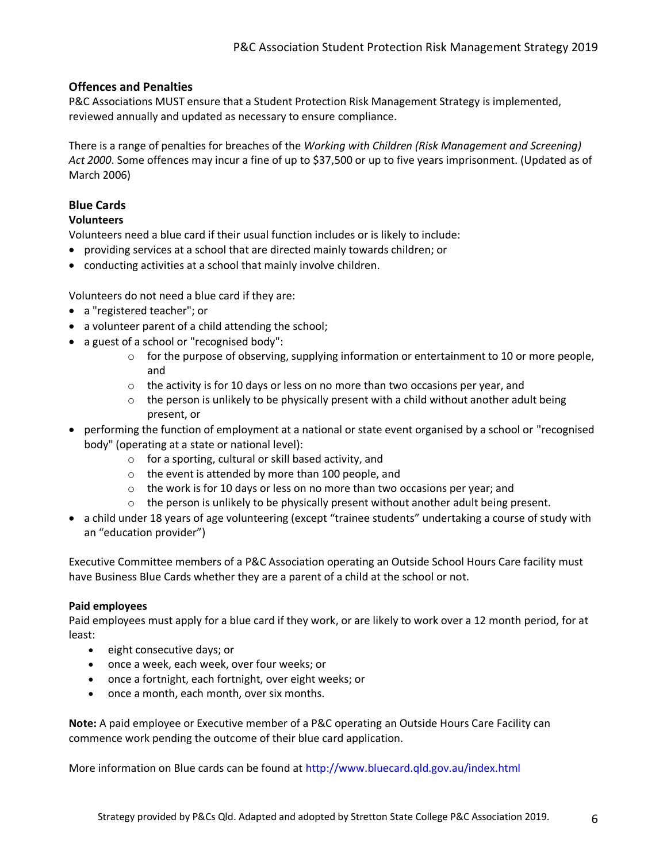#### **Offences and Penalties**

P&C Associations MUST ensure that a Student Protection Risk Management Strategy is implemented, reviewed annually and updated as necessary to ensure compliance.

There is a range of penalties for breaches of the *Working with Children (Risk Management and Screening) Act 2000*. Some offences may incur a fine of up to \$37,500 or up to five years imprisonment. (Updated as of March 2006)

### **Blue Cards**

#### **Volunteers**

Volunteers need a blue card if their usual function includes or is likely to include:

- providing services at a school that are directed mainly towards children; or
- conducting activities at a school that mainly involve children.

Volunteers do not need a blue card if they are:

- a ["registered teacher";](http://www.ccypcg.qld.gov.au/employment/bluecard/definitions.html#teacher) or
- a volunteer parent of a child attending the school;
- a guest of a school o[r "recognised body":](http://www.ccypcg.qld.gov.au/employment/bluecard/definitions.html#recognisedBody)
	- $\circ$  for the purpose of observing, supplying information or entertainment to 10 or more people, and
	- o the activity is for 10 days or less on no more than two occasions per year, and
	- $\circ$  the person is unlikely to be physically present with a child without another adult being present, or
- performing the function of employment at a national or state event organised by a school or ["recognised](http://www.ccypcg.qld.gov.au/employment/bluecard/definitions.html#recognisedBody)  [body"](http://www.ccypcg.qld.gov.au/employment/bluecard/definitions.html#recognisedBody) (operating at a state or national level):
	- o for a sporting, cultural or skill based activity, and
	- o the event is attended by more than 100 people, and
	- o the work is for 10 days or less on no more than two occasions per year; and
	- $\circ$  the person is unlikely to be physically present without another adult being present.
- a child under 18 years of age volunteering (except ["trainee students"](http://www.ccypcg.qld.gov.au/employment/bluecard/definitions.html#student) undertaking a course of study with an ["education provider"](http://www.ccypcg.qld.gov.au/employment/bluecard/definitions.html#edProvider))

Executive Committee members of a P&C Association operating an Outside School Hours Care facility must have Business Blue Cards whether they are a parent of a child at the school or not.

#### **Paid employees**

Paid employees must apply for a blue card if they work, or are likely to work over a 12 month period, for at least:

- eight consecutive days; or
- once a week, each week, over four weeks; or
- once a fortnight, each fortnight, over eight weeks; or
- once a month, each month, over six months.

**Note:** A paid employee or Executive member of a P&C operating an Outside Hours Care Facility can commence work pending the outcome of their blue card application.

More information on Blue cards can be found at http://www.bluecard.qld.gov.au/index.html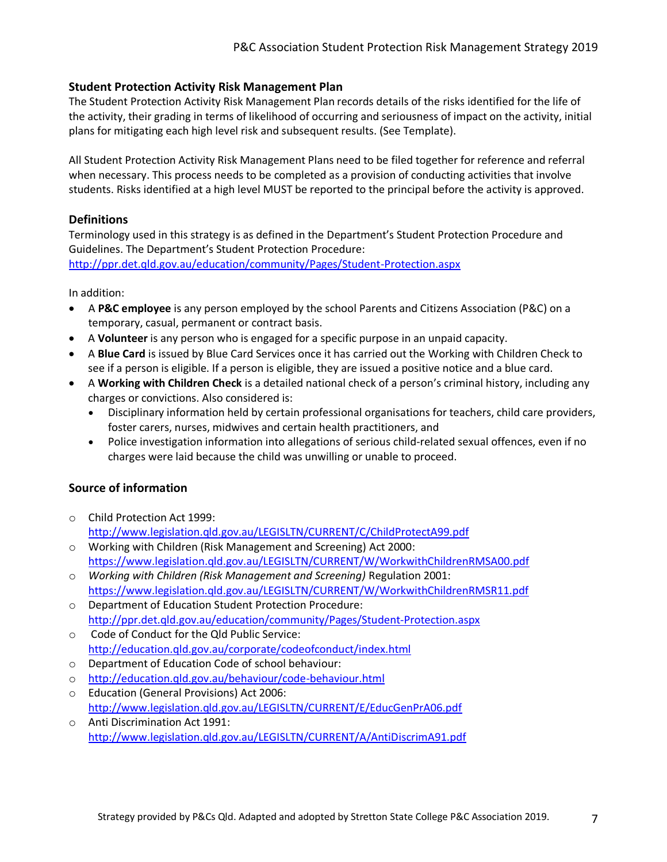#### **Student Protection Activity Risk Management Plan**

The Student Protection Activity Risk Management Plan records details of the risks identified for the life of the activity, their grading in terms of likelihood of occurring and seriousness of impact on the activity, initial plans for mitigating each high level risk and subsequent results. (See Template).

All Student Protection Activity Risk Management Plans need to be filed together for reference and referral when necessary. This process needs to be completed as a provision of conducting activities that involve students. Risks identified at a high level MUST be reported to the principal before the activity is approved.

#### **Definitions**

Terminology used in this strategy is as defined in the Department's Student Protection Procedure and Guidelines. The Department's Student Protection Procedure: <http://ppr.det.qld.gov.au/education/community/Pages/Student-Protection.aspx>

In addition:

- A **P&C employee** is any person employed by the school Parents and Citizens Association (P&C) on a temporary, casual, permanent or contract basis.
- A **Volunteer** is any person who is engaged for a specific purpose in an unpaid capacity.
- A **Blue Card** is issued by Blue Card Services once it has carried out the Working with Children Check to see if a person is eligible. If a person is eligible, they are issued a positive notice and a blue card.
- A **Working with Children Check** is a detailed national check of a person's criminal history, including any charges or convictions. Also considered is:
	- Disciplinary information held by certain professional organisations for teachers, child care providers, foster carers, nurses, midwives and certain health practitioners, and
	- Police investigation information into allegations of serious child-related sexual offences, even if no charges were laid because the child was unwilling or unable to proceed.

#### **Source of information**

- o Child Protection Act 1999: <http://www.legislation.qld.gov.au/LEGISLTN/CURRENT/C/ChildProtectA99.pdf>
- o Working with Children (Risk Management and Screening) Act 2000: <https://www.legislation.qld.gov.au/LEGISLTN/CURRENT/W/WorkwithChildrenRMSA00.pdf>
- o *Working with Children (Risk Management and Screening)* Regulation 2001: <https://www.legislation.qld.gov.au/LEGISLTN/CURRENT/W/WorkwithChildrenRMSR11.pdf>
- o Department of Education Student Protection Procedure: <http://ppr.det.qld.gov.au/education/community/Pages/Student-Protection.aspx>
- o Code of Conduct for the Qld Public Service: <http://education.qld.gov.au/corporate/codeofconduct/index.html>
- o Department of Education Code of school behaviour:
- o <http://education.qld.gov.au/behaviour/code-behaviour.html>
- o Education (General Provisions) Act 2006: <http://www.legislation.qld.gov.au/LEGISLTN/CURRENT/E/EducGenPrA06.pdf>
- o Anti Discrimination Act 1991: <http://www.legislation.qld.gov.au/LEGISLTN/CURRENT/A/AntiDiscrimA91.pdf>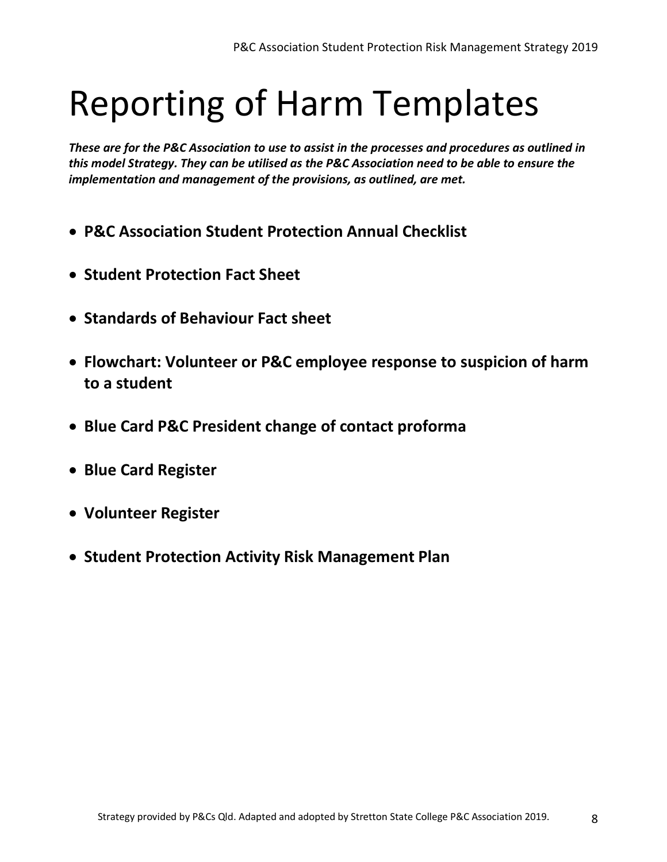# Reporting of Harm Templates

*These are for the P&C Association to use to assist in the processes and procedures as outlined in this model Strategy. They can be utilised as the P&C Association need to be able to ensure the implementation and management of the provisions, as outlined, are met.*

- **P&C Association Student Protection Annual Checklist**
- **Student Protection Fact Sheet**
- **Standards of Behaviour Fact sheet**
- **Flowchart: Volunteer or P&C employee response to suspicion of harm to a student**
- **Blue Card P&C President change of contact proforma**
- **Blue Card Register**
- **Volunteer Register**
- **Student Protection Activity Risk Management Plan**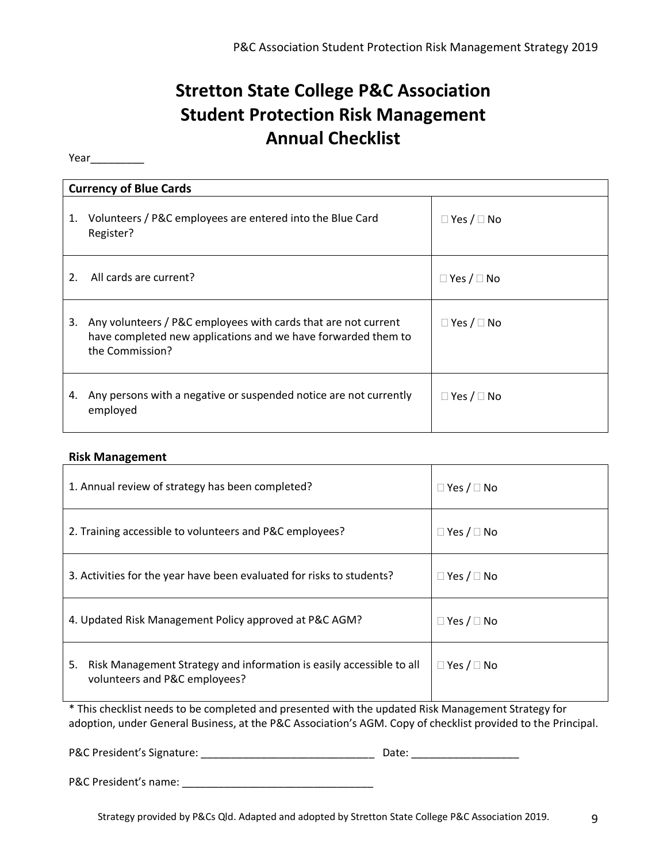# **Stretton State College P&C Association Student Protection Risk Management Annual Checklist**

#### Year\_\_\_\_\_\_\_\_\_

|    | <b>Currency of Blue Cards</b>                                                                                                                      |                        |  |  |  |  |  |  |
|----|----------------------------------------------------------------------------------------------------------------------------------------------------|------------------------|--|--|--|--|--|--|
| 1. | Volunteers / P&C employees are entered into the Blue Card<br>Register?                                                                             | $\Box$ Yes / $\Box$ No |  |  |  |  |  |  |
| 2. | All cards are current?                                                                                                                             | $\Box$ Yes / $\Box$ No |  |  |  |  |  |  |
| 3. | Any volunteers / P&C employees with cards that are not current<br>have completed new applications and we have forwarded them to<br>the Commission? | $\Box$ Yes / $\Box$ No |  |  |  |  |  |  |
| 4. | Any persons with a negative or suspended notice are not currently<br>employed                                                                      | $\Box$ Yes / $\Box$ No |  |  |  |  |  |  |

#### **Risk Management**

| 1. Annual review of strategy has been completed?                                                            | $Yes / \Box$ No        |
|-------------------------------------------------------------------------------------------------------------|------------------------|
| 2. Training accessible to volunteers and P&C employees?                                                     | $\Box$ Yes / $\Box$ No |
| 3. Activities for the year have been evaluated for risks to students?                                       | $\Box$ Yes / $\Box$ No |
| 4. Updated Risk Management Policy approved at P&C AGM?                                                      | $\Box$ Yes / $\Box$ No |
| Risk Management Strategy and information is easily accessible to all<br>5.<br>volunteers and P&C employees? | $\Box$ Yes / $\Box$ No |

\* This checklist needs to be completed and presented with the updated Risk Management Strategy for adoption, under General Business, at the P&C Association's AGM. Copy of checklist provided to the Principal.

P&C President's Signature: \_\_\_\_\_\_\_\_\_\_\_\_\_\_\_\_\_\_\_\_\_\_\_\_\_\_\_\_\_ Date: \_\_\_\_\_\_\_\_\_\_\_\_\_\_\_\_\_\_

P&C President's name: \_\_\_\_\_\_\_\_\_\_\_\_\_\_\_\_\_\_\_\_\_\_\_\_\_\_\_\_\_\_\_\_

Strategy provided by P&Cs Qld. Adapted and adopted by Stretton State College P&C Association 2019. 9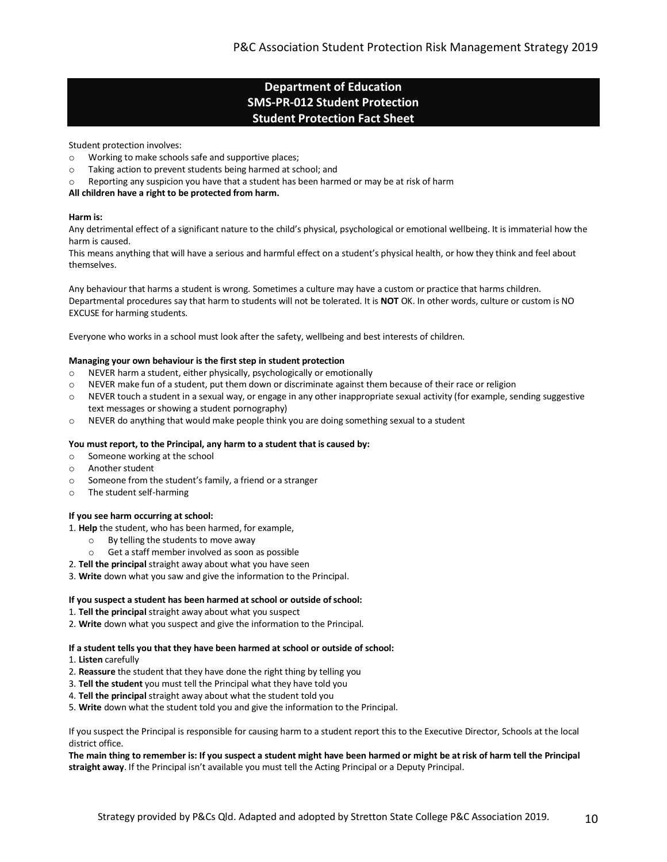#### **Department of Education SMS-PR-012 Student Protection Student Protection Fact Sheet**

Student protection involves:

- o Working to make schools safe and supportive places;
- o Taking action to prevent students being harmed at school; and
- $\circ$  Reporting any suspicion you have that a student has been harmed or may be at risk of harm

#### **All children have a right to be protected from harm.**

#### **Harm is:**

Any detrimental effect of a significant nature to the child's physical, psychological or emotional wellbeing. It is immaterial how the harm is caused.

This means anything that will have a serious and harmful effect on a student's physical health, or how they think and feel about themselves.

Any behaviour that harms a student is wrong. Sometimes a culture may have a custom or practice that harms children. Departmental procedures say that harm to students will not be tolerated. It is **NOT** OK. In other words, culture or custom is NO EXCUSE for harming students.

Everyone who works in a school must look after the safety, wellbeing and best interests of children.

#### **Managing your own behaviour is the first step in student protection**

- o NEVER harm a student, either physically, psychologically or emotionally
- $\circ$  NEVER make fun of a student, put them down or discriminate against them because of their race or religion
- $\circ$  NEVER touch a student in a sexual way, or engage in any other inappropriate sexual activity (for example, sending suggestive text messages or showing a student pornography)
- o NEVER do anything that would make people think you are doing something sexual to a student

#### **You must report, to the Principal, any harm to a student that is caused by:**

- o Someone working at the school
- o Another student
- o Someone from the student's family, a friend or a stranger
- o The student self-harming

#### **If you see harm occurring at school:**

- 1. **Help** the student, who has been harmed, for example,
	- o By telling the students to move away
	- o Get a staff member involved as soon as possible
- 2. **Tell the principal** straight away about what you have seen
- 3. **Write** down what you saw and give the information to the Principal.

#### **If you suspect a student has been harmed at school or outside of school:**

- 1. **Tell the principal** straight away about what you suspect
- 2. **Write** down what you suspect and give the information to the Principal.

#### **If a student tells you that they have been harmed at school or outside of school:**

- 1. **Listen** carefully
- 2. **Reassure** the student that they have done the right thing by telling you
- 3. **Tell the student** you must tell the Principal what they have told you
- 4. **Tell the principal** straight away about what the student told you
- 5. **Write** down what the student told you and give the information to the Principal.

If you suspect the Principal is responsible for causing harm to a student report this to the Executive Director, Schools at the local district office.

**The main thing to remember is: If you suspect a student might have been harmed or might be at risk of harm tell the Principal straight away**. If the Principal isn't available you must tell the Acting Principal or a Deputy Principal.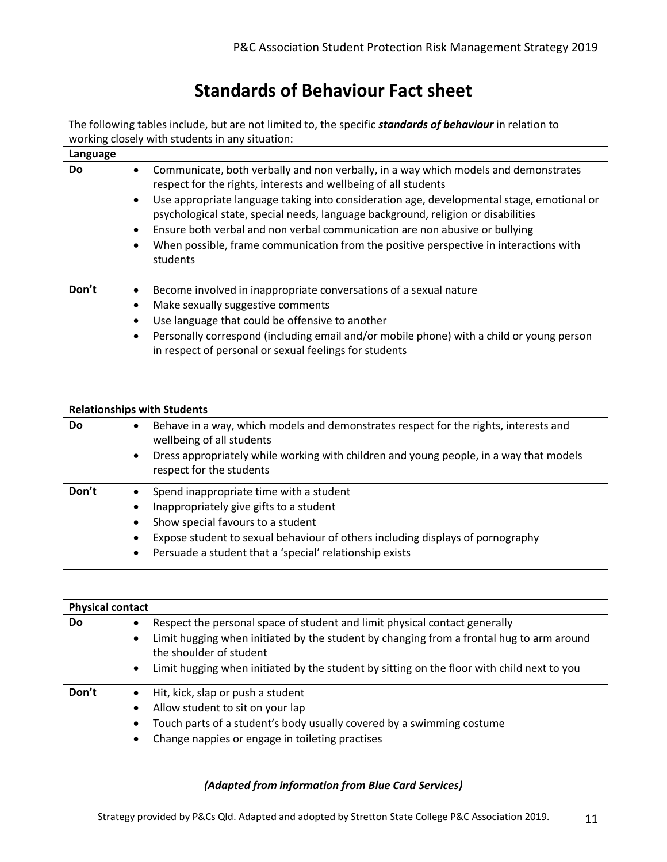### **Standards of Behaviour Fact sheet**

The following tables include, but are not limited to, the specific *standards of behaviour* in relation to working closely with students in any situation:

| Language |                                                                                                                                                                                                                                                                                                                                                                                                                                                                                                                                                        |
|----------|--------------------------------------------------------------------------------------------------------------------------------------------------------------------------------------------------------------------------------------------------------------------------------------------------------------------------------------------------------------------------------------------------------------------------------------------------------------------------------------------------------------------------------------------------------|
| Do.      | Communicate, both verbally and non verbally, in a way which models and demonstrates<br>$\bullet$<br>respect for the rights, interests and wellbeing of all students<br>Use appropriate language taking into consideration age, developmental stage, emotional or<br>$\bullet$<br>psychological state, special needs, language background, religion or disabilities<br>Ensure both verbal and non verbal communication are non abusive or bullying<br>When possible, frame communication from the positive perspective in interactions with<br>students |
| Don't    | Become involved in inappropriate conversations of a sexual nature<br>Make sexually suggestive comments<br>$\bullet$<br>Use language that could be offensive to another<br>$\bullet$<br>Personally correspond (including email and/or mobile phone) with a child or young person<br>$\bullet$<br>in respect of personal or sexual feelings for students                                                                                                                                                                                                 |

|       | <b>Relationships with Students</b>                                                                                |                                                                                                                    |  |  |  |  |  |  |  |
|-------|-------------------------------------------------------------------------------------------------------------------|--------------------------------------------------------------------------------------------------------------------|--|--|--|--|--|--|--|
| Do    | Behave in a way, which models and demonstrates respect for the rights, interests and<br>wellbeing of all students |                                                                                                                    |  |  |  |  |  |  |  |
|       | $\bullet$                                                                                                         | Dress appropriately while working with children and young people, in a way that models<br>respect for the students |  |  |  |  |  |  |  |
| Don't | $\bullet$                                                                                                         | Spend inappropriate time with a student                                                                            |  |  |  |  |  |  |  |
|       | $\bullet$                                                                                                         | Inappropriately give gifts to a student                                                                            |  |  |  |  |  |  |  |
|       | $\bullet$                                                                                                         | Show special favours to a student                                                                                  |  |  |  |  |  |  |  |
|       | ٠                                                                                                                 | Expose student to sexual behaviour of others including displays of pornography                                     |  |  |  |  |  |  |  |
|       | $\bullet$                                                                                                         | Persuade a student that a 'special' relationship exists                                                            |  |  |  |  |  |  |  |

|           | <b>Physical contact</b>                                                                                                                                                                                                                                                                                                   |
|-----------|---------------------------------------------------------------------------------------------------------------------------------------------------------------------------------------------------------------------------------------------------------------------------------------------------------------------------|
| <b>Do</b> | Respect the personal space of student and limit physical contact generally<br>Limit hugging when initiated by the student by changing from a frontal hug to arm around<br>$\bullet$<br>the shoulder of student<br>Limit hugging when initiated by the student by sitting on the floor with child next to you<br>$\bullet$ |
| Don't     | Hit, kick, slap or push a student<br>Allow student to sit on your lap<br>٠<br>Touch parts of a student's body usually covered by a swimming costume<br>٠<br>Change nappies or engage in toileting practises<br>$\bullet$                                                                                                  |

#### *(Adapted from information from Blue Card Services)*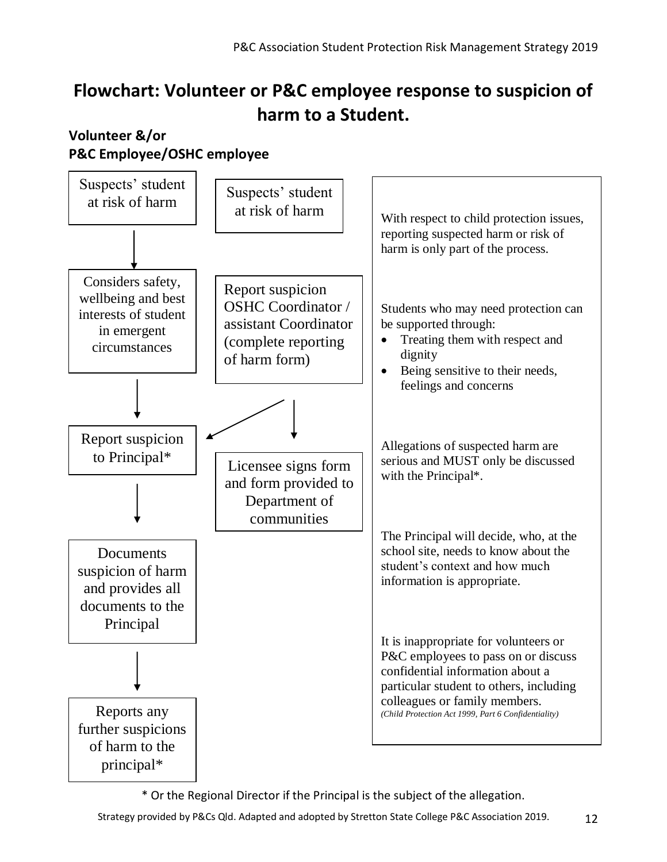## **Flowchart: Volunteer or P&C employee response to suspicion of harm to a Student.**

### **Volunteer &/or P&C Employee/OSHC employee**



\* Or the Regional Director if the Principal is the subject of the allegation.

Strategy provided by P&Cs Qld. Adapted and adopted by Stretton State College P&C Association 2019. 12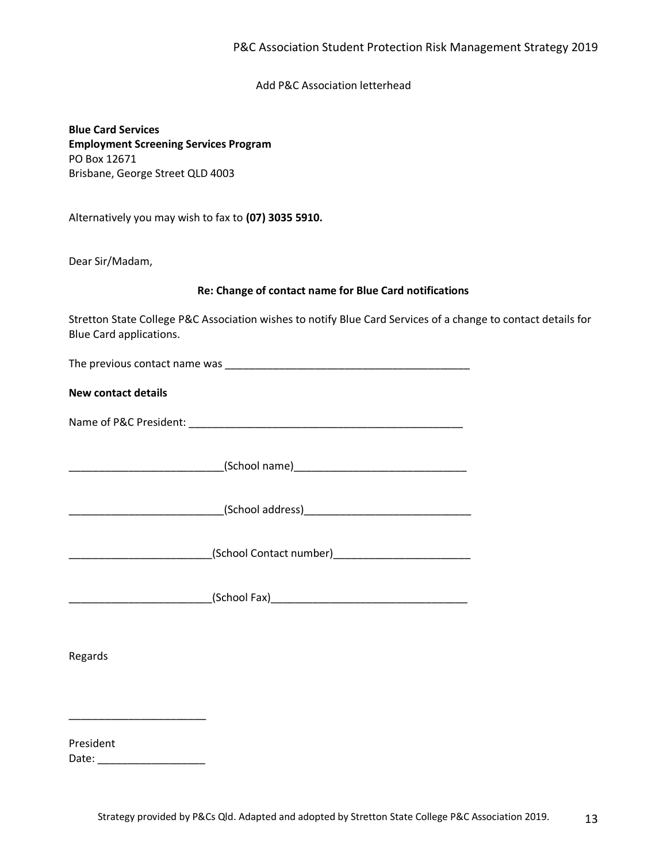Add P&C Association letterhead

**Blue Card Services Employment Screening Services Program** PO Box 12671 Brisbane, George Street QLD 4003

Alternatively you may wish to fax to **(07) 3035 5910.**

Dear Sir/Madam,

#### **Re: Change of contact name for Blue Card notifications**

Stretton State College P&C Association wishes to notify Blue Card Services of a change to contact details for Blue Card applications.

| The previous contact name was |  |
|-------------------------------|--|
|                               |  |

#### **New contact details**

| Name of P&C President: |  |
|------------------------|--|
|------------------------|--|

\_\_\_\_\_\_\_\_\_\_\_\_\_\_\_\_\_\_\_\_\_\_\_\_\_\_(School name)\_\_\_\_\_\_\_\_\_\_\_\_\_\_\_\_\_\_\_\_\_\_\_\_\_\_\_\_\_

\_\_\_\_\_\_\_\_\_\_\_\_\_\_\_\_\_\_\_\_\_\_\_\_\_\_(School address)\_\_\_\_\_\_\_\_\_\_\_\_\_\_\_\_\_\_\_\_\_\_\_\_\_\_\_\_

\_\_\_\_\_\_\_\_\_\_\_\_\_\_\_\_\_\_\_\_\_\_\_\_(School Contact number)\_\_\_\_\_\_\_\_\_\_\_\_\_\_\_\_\_\_\_\_\_\_\_

\_\_\_\_\_\_\_\_\_\_\_\_\_\_\_\_\_\_\_\_\_\_\_\_(School Fax)\_\_\_\_\_\_\_\_\_\_\_\_\_\_\_\_\_\_\_\_\_\_\_\_\_\_\_\_\_\_\_\_\_

Regards

| President |  |
|-----------|--|
| Date:     |  |

\_\_\_\_\_\_\_\_\_\_\_\_\_\_\_\_\_\_\_\_\_\_\_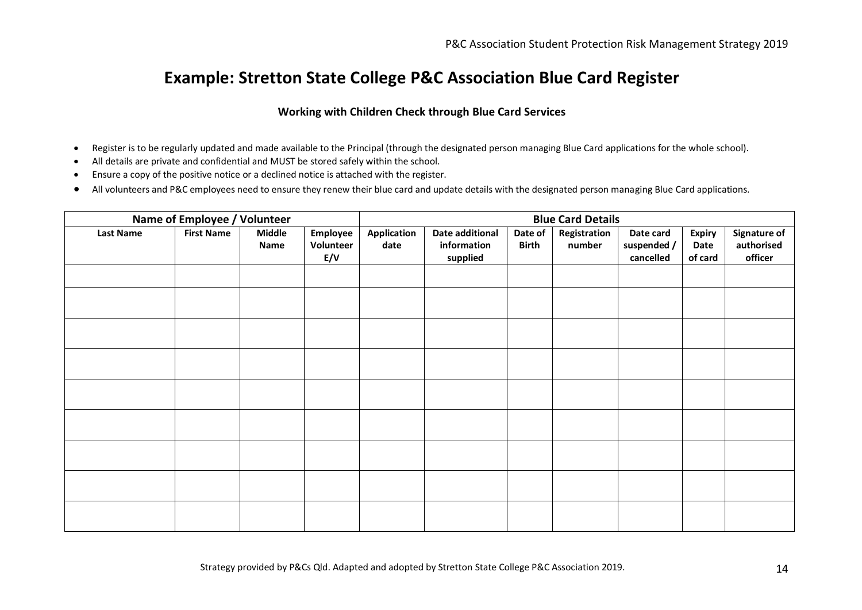### **Example: Stretton State College P&C Association Blue Card Register**

#### **Working with Children Check through Blue Card Services**

- Register is to be regularly updated and made available to the Principal (through the designated person managing Blue Card applications for the whole school).
- All details are private and confidential and MUST be stored safely within the school.
- Ensure a copy of the positive notice or a declined notice is attached with the register.
- All volunteers and P&C employees need to ensure they renew their blue card and update details with the designated person managing Blue Card applications.

| Name of Employee / Volunteer |                   |                |                              | <b>Blue Card Details</b> |                                            |                         |                        |                                       |                                  |                                       |
|------------------------------|-------------------|----------------|------------------------------|--------------------------|--------------------------------------------|-------------------------|------------------------|---------------------------------------|----------------------------------|---------------------------------------|
| <b>Last Name</b>             | <b>First Name</b> | Middle<br>Name | Employee<br>Volunteer<br>E/V | Application<br>date      | Date additional<br>information<br>supplied | Date of<br><b>Birth</b> | Registration<br>number | Date card<br>suspended /<br>cancelled | <b>Expiry</b><br>Date<br>of card | Signature of<br>authorised<br>officer |
|                              |                   |                |                              |                          |                                            |                         |                        |                                       |                                  |                                       |
|                              |                   |                |                              |                          |                                            |                         |                        |                                       |                                  |                                       |
|                              |                   |                |                              |                          |                                            |                         |                        |                                       |                                  |                                       |
|                              |                   |                |                              |                          |                                            |                         |                        |                                       |                                  |                                       |
|                              |                   |                |                              |                          |                                            |                         |                        |                                       |                                  |                                       |
|                              |                   |                |                              |                          |                                            |                         |                        |                                       |                                  |                                       |
|                              |                   |                |                              |                          |                                            |                         |                        |                                       |                                  |                                       |
|                              |                   |                |                              |                          |                                            |                         |                        |                                       |                                  |                                       |
|                              |                   |                |                              |                          |                                            |                         |                        |                                       |                                  |                                       |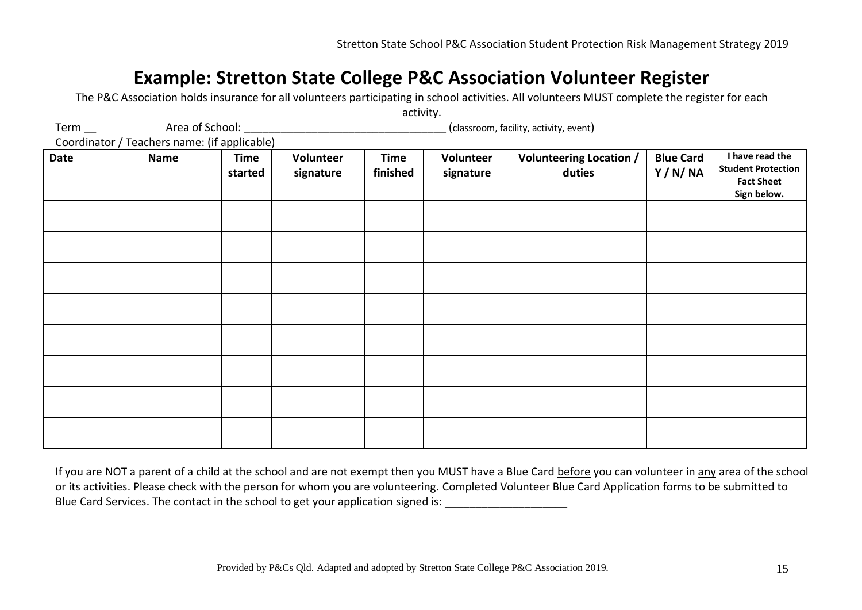### **Example: Stretton State College P&C Association Volunteer Register**

The P&C Association holds insurance for all volunteers participating in school activities. All volunteers MUST complete the register for each activity.

|      | Coordinator / Teachers name: (if applicable) |                        |                        |                         |                        |                                          |                            |                                                                                  |
|------|----------------------------------------------|------------------------|------------------------|-------------------------|------------------------|------------------------------------------|----------------------------|----------------------------------------------------------------------------------|
| Date | <b>Name</b>                                  | <b>Time</b><br>started | Volunteer<br>signature | <b>Time</b><br>finished | Volunteer<br>signature | <b>Volunteering Location /</b><br>duties | <b>Blue Card</b><br>Y/N/NA | I have read the<br><b>Student Protection</b><br><b>Fact Sheet</b><br>Sign below. |
|      |                                              |                        |                        |                         |                        |                                          |                            |                                                                                  |
|      |                                              |                        |                        |                         |                        |                                          |                            |                                                                                  |
|      |                                              |                        |                        |                         |                        |                                          |                            |                                                                                  |
|      |                                              |                        |                        |                         |                        |                                          |                            |                                                                                  |
|      |                                              |                        |                        |                         |                        |                                          |                            |                                                                                  |
|      |                                              |                        |                        |                         |                        |                                          |                            |                                                                                  |
|      |                                              |                        |                        |                         |                        |                                          |                            |                                                                                  |
|      |                                              |                        |                        |                         |                        |                                          |                            |                                                                                  |
|      |                                              |                        |                        |                         |                        |                                          |                            |                                                                                  |
|      |                                              |                        |                        |                         |                        |                                          |                            |                                                                                  |
|      |                                              |                        |                        |                         |                        |                                          |                            |                                                                                  |
|      |                                              |                        |                        |                         |                        |                                          |                            |                                                                                  |
|      |                                              |                        |                        |                         |                        |                                          |                            |                                                                                  |
|      |                                              |                        |                        |                         |                        |                                          |                            |                                                                                  |
|      |                                              |                        |                        |                         |                        |                                          |                            |                                                                                  |
|      |                                              |                        |                        |                         |                        |                                          |                            |                                                                                  |

Term **Example 20** Area of School: **Example 20 Area of School: Example 20 Area of School: Example 20 Area of School: Example 20 Area of School: Example 20 Area of School: Example 20 Area of School: Example 20 Ar** 

If you are NOT a parent of a child at the school and are not exempt then you MUST have a Blue Card before you can volunteer in any area of the school or its activities. Please check with the person for whom you are volunteering. Completed Volunteer Blue Card Application forms to be submitted to Blue Card Services. The contact in the school to get your application signed is: